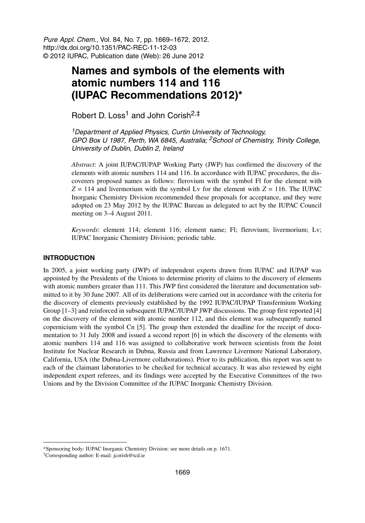Pure Appl. Chem., Vol. 84, No. 7, pp. 1669–1672, 2012. http://dx.doi.org/10.1351/PAC-REC-11-12-03 © 2012 IUPAC, Publication date (Web): 26 June 2012

# **Names and symbols of the elements with atomic numbers 114 and 116 (IUPAC Recommendations 2012)\***

Robert D. Loss<sup>1</sup> and John Corish<sup>2,‡</sup>

<sup>1</sup> Department of Applied Physics, Curtin University of Technology, GPO Box U 1987, Perth, WA 6845, Australia; <sup>2</sup>School of Chemistry, Trinity College, University of Dublin, Dublin 2, Ireland

*Abstract*: A joint IUPAC/IUPAP Working Party (JWP) has confirmed the discovery of the elements with atomic numbers 114 and 116. In accordance with IUPAC procedures, the discoverers proposed names as follows: flerovium with the symbol Fl for the element with  $Z = 114$  and livermorium with the symbol Ly for the element with  $Z = 116$ . The IUPAC Inorganic Chemistry Division recommended these proposals for acceptance, and they were adopted on 23 May 2012 by the IUPAC Bureau as delegated to act by the IUPAC Council meeting on 3–4 August 2011.

*Keywords*: element 114; element 116; element name; Fl; flerovium; livermorium; Lv; IUPAC Inorganic Chemistry Division; periodic table.

## **INTRODUCTION**

In 2005, a joint working party (JWP) of independent experts drawn from IUPAC and IUPAP was appointed by the Presidents of the Unions to determine priority of claims to the discovery of elements with atomic numbers greater than 111. This JWP first considered the literature and documentation submitted to it by 30 June 2007. All of its deliberations were carried out in accordance with the criteria for the discovery of elements previously established by the 1992 IUPAC/IUPAP Transfermium Working Group [1–3] and reinforced in subsequent IUPAC/IUPAP JWP discussions. The group first reported [4] on the discovery of the element with atomic number 112, and this element was subsequently named copernicium with the symbol Cn [5]. The group then extended the deadline for the receipt of documentation to 31 July 2008 and issued a second report [6] in which the discovery of the elements with atomic numbers 114 and 116 was assigned to collaborative work between scientists from the Joint Institute for Nuclear Research in Dubna, Russia and from Lawrence Livermore National Laboratory, California, USA (the Dubna-Livermore collaborations). Prior to its publication, this report was sent to each of the claimant laboratories to be checked for technical accuracy. It was also reviewed by eight independent expert referees, and its findings were accepted by the Executive Committees of the two Unions and by the Division Committee of the IUPAC Inorganic Chemistry Division.

<sup>\*</sup>Sponsoring body: IUPAC Inorganic Chemistry Division: see more details on p. 1671.

<sup>†</sup>Corresponding author: E-mail: jcorish@tcd.ie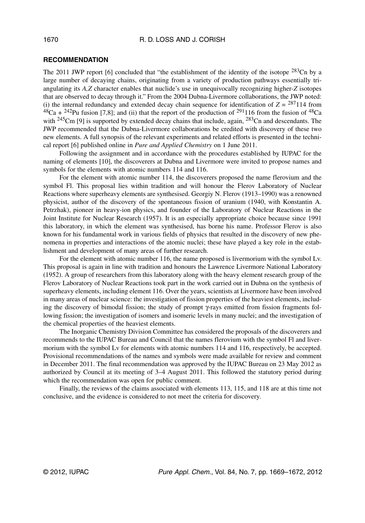#### **RECOMMENDATION**

The 2011 JWP report [6] concluded that "the establishment of the identity of the isotope  $^{283}$ Cn by a large number of decaying chains, originating from a variety of production pathways essentially triangulating its *A,Z* character enables that nuclide's use in unequivocally recognizing higher-*Z* isotopes that are observed to decay through it." From the 2004 Dubna-Livermore collaborations, the JWP noted: (i) the internal redundancy and extended decay chain sequence for identification of  $Z = \frac{287114}{\text{ from}}$  ${}^{48}Ca + {}^{242}Pu$  fusion [7,8]; and (ii) that the report of the production of  ${}^{291}116$  from the fusion of  ${}^{48}Ca$ with  $245$ Cm [9] is supported by extended decay chains that include, again,  $283$ Cn and descendants. The JWP recommended that the Dubna-Livermore collaborations be credited with discovery of these two new elements. A full synopsis of the relevant experiments and related efforts is presented in the technical report [6] published online in *Pure and Applied Chemistry* on 1 June 2011.

Following the assignment and in accordance with the procedures established by IUPAC for the naming of elements [10], the discoverers at Dubna and Livermore were invited to propose names and symbols for the elements with atomic numbers 114 and 116.

For the element with atomic number 114, the discoverers proposed the name flerovium and the symbol Fl. This proposal lies within tradition and will honour the Flerov Laboratory of Nuclear Reactions where superheavy elements are synthesised. Georgiy N. Flerov (1913–1990) was a renowned physicist, author of the discovery of the spontaneous fission of uranium (1940, with Konstantin A. Petrzhak), pioneer in heavy-ion physics, and founder of the Laboratory of Nuclear Reactions in the Joint Institute for Nuclear Research (1957). It is an especially appropriate choice because since 1991 this laboratory, in which the element was synthesised, has borne his name. Professor Flerov is also known for his fundamental work in various fields of physics that resulted in the discovery of new phenomena in properties and interactions of the atomic nuclei; these have played a key role in the establishment and development of many areas of further research.

For the element with atomic number 116, the name proposed is livermorium with the symbol Lv. This proposal is again in line with tradition and honours the Lawrence Livermore National Laboratory (1952). A group of researchers from this laboratory along with the heavy element research group of the Flerov Laboratory of Nuclear Reactions took part in the work carried out in Dubna on the synthesis of superheavy elements, including element 116. Over the years, scientists at Livermore have been involved in many areas of nuclear science: the investigation of fission properties of the heaviest elements, including the discovery of bimodal fission; the study of prompt γ-rays emitted from fission fragments following fission; the investigation of isomers and isomeric levels in many nuclei; and the investigation of the chemical properties of the heaviest elements.

The Inorganic Chemistry Division Committee has considered the proposals of the discoverers and recommends to the IUPAC Bureau and Council that the names flerovium with the symbol Fl and livermorium with the symbol Lv for elements with atomic numbers 114 and 116, respectively, be accepted. Provisional recommendations of the names and symbols were made available for review and comment in December 2011. The final recommendation was approved by the IUPAC Bureau on 23 May 2012 as authorized by Council at its meeting of 3–4 August 2011. This followed the statutory period during which the recommendation was open for public comment.

Finally, the reviews of the claims associated with elements 113, 115, and 118 are at this time not conclusive, and the evidence is considered to not meet the criteria for discovery.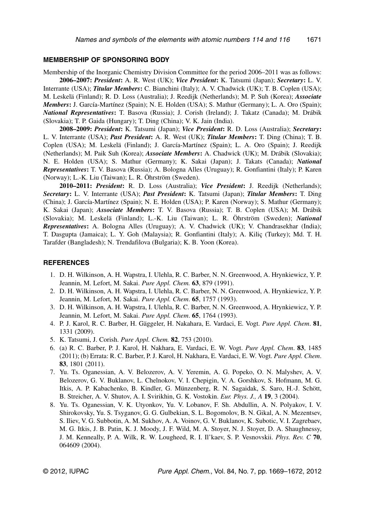### **MEMBERSHIP OF SPONSORING BODY**

Membership of the Inorganic Chemistry Division Committee for the period 2006–2011 was as follows: **2006–2007:** *President***:** A. R. West (UK); *Vice President***:** K. Tatsumi (Japan); *Secretary***:** L. V. Interrante (USA); *Titular Members***:** C. Bianchini (Italy); A. V. Chadwick (UK); T. B. Coplen (USA); M. Leskelä (Finland); R. D. Loss (Australia); J. Reedijk (Netherlands); M. P. Suh (Korea); *Associate Members***:** J. García-Martínez (Spain); N. E. Holden (USA); S. Mathur (Germany); L. A. Oro (Spain);

*National Representatives***:** T. Basova (Russia); J. Corish (Ireland); J. Takatz (Canada); M. Drábik (Slovakia); T. P. Gaida (Hungary); T. Ding (China); V. K. Jain (India).

**2008–2009:** *President***:** K. Tatsumi (Japan); *Vice President***:** R. D. Loss (Australia); *Secretary***:** L. V. Interrante (USA); *Past President***:** A. R. West (UK); *Titular Members***:** T. Ding (China); T. B. Coplen (USA); M. Leskelä (Finland); J. García-Martínez (Spain); L. A. Oro (Spain); J. Reedijk (Netherlands); M. Paik Suh (Korea); *Associate Members***:** A. Chadwick (UK); M. Drábik (Slovakia); N. E. Holden (USA); S. Mathur (Germany); K. Sakai (Japan); J. Takats (Canada); *National Representatives***:** T. V. Basova (Russia); A. Bologna Alles (Uruguay); R. Gonfiantini (Italy); P. Karen (Norway); L.-K. Liu (Taiwan); L. R. Öhrström (Sweden).

**2010–2011:** *President***:** R. D. Loss (Australia); *Vice President***:** J. Reedijk (Netherlands); *Secretary***:** L. V. Interrante (USA); *Past President***:** K. Tatsumi (Japan); *Titular Members***:** T. Ding (China); J. García-Martínez (Spain); N. E. Holden (USA); P. Karen (Norway); S. Mathur (Germany); K. Sakai (Japan); *Associate Members***:** T. V. Basova (Russia); T. B. Coplen (USA); M. Drábik (Slovakia); M. Leskelä (Finland); L.-K. Liu (Taiwan); L. R. Öhrström (Sweden); *National Representatives***:** A. Bologna Alles (Uruguay); A. V. Chadwick (UK); V. Chandrasekhar (India); T. Dasgupta (Jamaica); L. Y. Goh (Malaysia); R. Gonfiantini (Italy); A. Kiliç (Turkey); Md. T. H. Tarafder (Bangladesh); N. Trendafilova (Bulgaria); K. B. Yoon (Korea).

## **REFERENCES**

- 1. D. H. Wilkinson, A. H. Wapstra, I. Ulehla, R. C. Barber, N. N. Greenwood, A. Hrynkiewicz, Y. P. Jeannin, M. Lefort, M. Sakai. *Pure Appl. Chem.* **63**, 879 (1991).
- 2. D. H. Wilkinson, A. H. Wapstra, I. Ulehla, R. C. Barber, N. N. Greenwood, A. Hrynkiewicz, Y. P. Jeannin, M. Lefort, M. Sakai. *Pure Appl. Chem*. **65**, 1757 (1993).
- 3. D. H. Wilkinson, A. H. Wapstra, I. Ulehla, R. C. Barber, N. N. Greenwood, A. Hrynkiewicz, Y. P. Jeannin, M. Lefort, M. Sakai. *Pure Appl. Chem*. **65**, 1764 (1993).
- 4. P. J. Karol, R. C. Barber, H. Gäggeler, H. Nakahara, E. Vardaci, E. Vogt. *Pure Appl. Chem*. **81**, 1331 (2009).
- 5. K. Tatsumi, J. Corish. *Pure Appl. Chem.* **82**, 753 (2010).
- 6. (a) R. C. Barber, P. J. Karol, H. Nakhara, E. Vardaci, E. W. Vogt. *Pure Appl. Chem*. **83**, 1485 (2011); (b) Errata: R. C. Barber, P. J. Karol, H. Nakhara, E. Vardaci, E. W. Vogt. *Pure Appl. Chem*. **83**, 1801 (2011).
- 7. Yu. Ts. Oganessian, A. V. Belozerov, A. V. Yeremin, A. G. Popeko, O. N. Malyshev, A. V. Belozerov, G. V. Buklanov, L. Chelnokov, V. I. Chepigin, V. A. Gorshkov, S. Hofmann, M. G. Itkis, A. P. Kabachenko, B. Kindler, G. Münzenberg, R. N. Sagaidak, S. Saro, H.-J. Schött, B. Streicher, A. V. Shutov, A. I. Svirikhin, G. K. Vostokin. *Eur. Phys. J., A* **19**, 3 (2004).
- 8. Yu. Ts. Oganessian, V. K. Utyonkov, Yu. V. Lobanov, F. Sh. Abdullin, A. N. Polyakov, I. V. Shirokovsky, Yu. S. Tsyganov, G. G. Gulbekian, S. L. Bogomolov, B. N. Gikal, A. N. Mezentsev, S. Iliev, V. G. Subbotin, A. M. Sukhov, A. A. Voinov, G. V. Buklanov, K. Subotic, V. I. Zagrebaev, M. G. Itkis, J. B. Patin, K. J. Moody, J. F. Wild, M. A. Stoyer, N. J. Stoyer, D. A. Shaughnessy, J. M. Kenneally, P. A. Wilk, R. W. Lougheed, R. I. Il'kaev, S. P. Vesnovskii. *Phys. Rev. C* **70**, 064609 (2004).